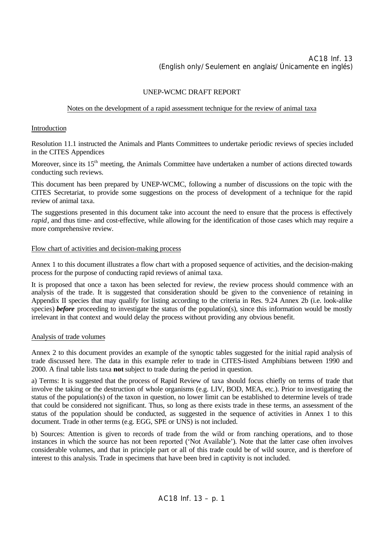## UNEP-WCMC DRAFT REPORT

## Notes on the development of a rapid assessment technique for the review of animal taxa

## Introduction

Resolution 11.1 instructed the Animals and Plants Committees to undertake periodic reviews of species included in the CITES Appendices

Moreover, since its 15<sup>th</sup> meeting, the Animals Committee have undertaken a number of actions directed towards conducting such reviews.

This document has been prepared by UNEP-WCMC, following a number of discussions on the topic with the CITES Secretariat, to provide some suggestions on the process of development of a technique for the rapid review of animal taxa.

The suggestions presented in this document take into account the need to ensure that the process is effectively *rapid*, and thus time- and cost-effective, while allowing for the identification of those cases which may require a more comprehensive review.

### Flow chart of activities and decision-making process

Annex 1 to this document illustrates a flow chart with a proposed sequence of activities, and the decision-making process for the purpose of conducting rapid reviews of animal taxa.

It is proposed that once a taxon has been selected for review, the review process should commence with an analysis of the trade. It is suggested that consideration should be given to the convenience of retaining in Appendix II species that may qualify for listing according to the criteria in Res. 9.24 Annex 2b (i.e. look-alike species) *before* proceeding to investigate the status of the population(s), since this information would be mostly irrelevant in that context and would delay the process without providing any obvious benefit.

### Analysis of trade volumes

Annex 2 to this document provides an example of the synoptic tables suggested for the initial rapid analysis of trade discussed here. The data in this example refer to trade in CITES-listed Amphibians between 1990 and 2000. A final table lists taxa **not** subject to trade during the period in question.

a) Terms: It is suggested that the process of Rapid Review of taxa should focus chiefly on terms of trade that involve the taking or the destruction of whole organisms (e.g. LIV, BOD, MEA, etc.). Prior to investigating the status of the population(s) of the taxon in question, no lower limit can be established to determine levels of trade that could be considered not significant. Thus, so long as there exists trade in these terms, an assessment of the status of the population should be conducted, as suggested in the sequence of activities in Annex 1 to this document. Trade in other terms (e.g. EGG, SPE or UNS) is not included.

b) Sources: Attention is given to records of trade from the wild or from ranching operations, and to those instances in which the source has not been reported ('Not Available'). Note that the latter case often involves considerable volumes, and that in principle part or all of this trade could be of wild source, and is therefore of interest to this analysis. Trade in specimens that have been bred in captivity is not included.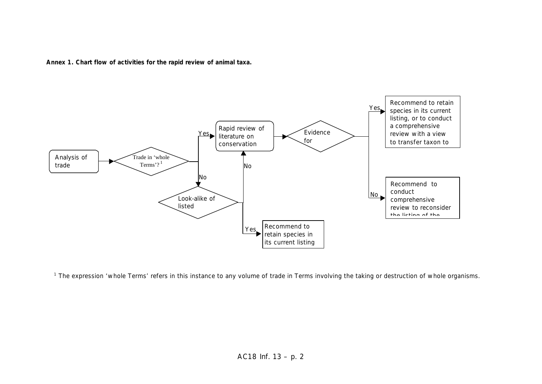



<sup>1</sup> The expression 'whole Terms' refers in this instance to any volume of trade in Terms involving the taking or destruction of whole organisms.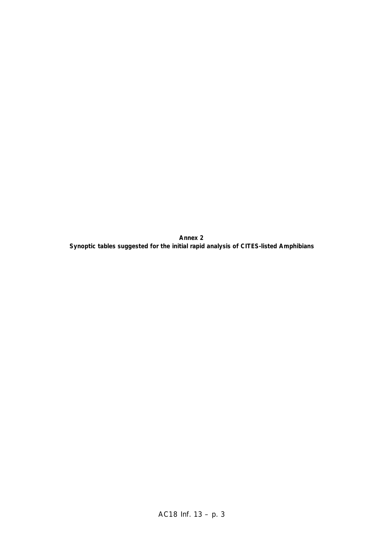**Annex 2 Synoptic tables suggested for the initial rapid analysis of CITES-listed Amphibians**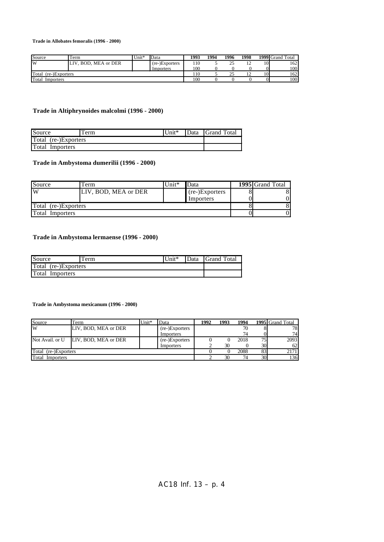**Trade in Allobates femoralis (1996 - 2000)**

| Source                  | Term                   | Unit* | Data           | 1993 | 1994 | 1996 | 1998 |    | 1999 Grand Total |
|-------------------------|------------------------|-------|----------------|------|------|------|------|----|------------------|
| W                       | BOD, MEA or DER<br>LIV |       | (re-)Exporters | 110  |      | 25   | . .  | 10 | 162              |
|                         |                        |       | Importers      | 100  |      |      |      |    | 100              |
| Total<br>(re-)Exporters |                        |       |                | 110  |      | 25   | . .  | 10 | 162 <sup>1</sup> |
| Total<br>Importers      |                        |       |                | 100  |      |      |      | 01 | 100              |

## **Trade in Altiphrynoides malcolmi (1996 - 2000)**

| Source                 | Term | $\text{Unit*}$ | Data | <b>S</b> Grand Total |
|------------------------|------|----------------|------|----------------------|
| Total (re-)Exporters   |      |                |      |                      |
| <b>Total Importers</b> |      |                |      |                      |

## **Trade in Ambystoma dumerilii (1996 - 2000)**

| Source               | l'erm                | Unit $*$ | Data           | <b>1995</b> Grand Total |
|----------------------|----------------------|----------|----------------|-------------------------|
| W                    | LIV, BOD, MEA or DER |          | (re-)Exporters |                         |
|                      |                      |          | Importers      |                         |
| Total (re-)Exporters |                      |          |                |                         |
| Total<br>Importers   |                      |          |                |                         |

### **Trade in Ambystoma lermaense (1996 - 2000)**

| Source               | Term | $\text{Unit*}$ |  | Data Grand Total |
|----------------------|------|----------------|--|------------------|
| Total (re-)Exporters |      |                |  |                  |
| Total Importers      |      |                |  |                  |

#### **Trade in Ambystoma mexicanum (1996 - 2000)**

| Source               | Term                 | $Unit*$ | Data           | 1992 | 1993 | 1994 |                 | <b>1995</b> Grand Total |
|----------------------|----------------------|---------|----------------|------|------|------|-----------------|-------------------------|
| W                    | LIV. BOD. MEA or DER |         | (re-)Exporters |      |      | 70   |                 | 78                      |
|                      |                      |         | Importers      |      |      | 74   |                 | 74                      |
| Not Avail. or U      | LIV. BOD, MEA or DER |         | (re-)Exporters |      |      | 2018 | 75              | 2093                    |
|                      |                      |         | Importers      |      | 30   |      | 30 <sup>I</sup> | 62                      |
| Total (re-)Exporters |                      |         |                |      |      | 2088 | 83              | 2171                    |
| Total<br>Importers   |                      |         |                |      | 30   | 74   | 30              | 136                     |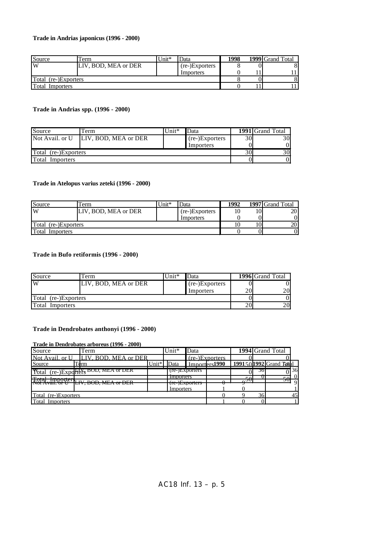### **Trade in Andrias japonicus (1996 - 2000)**

| Source               | l'erm                | Unit $*$ | Data           | 1998 | $\overline{1999}$ Grand Total |
|----------------------|----------------------|----------|----------------|------|-------------------------------|
| lW                   | LIV. BOD. MEA or DER |          | (re-)Exporters |      |                               |
|                      |                      |          | Importers      |      |                               |
| Total (re-)Exporters |                      |          |                |      |                               |
| Total<br>Importers   |                      |          |                |      |                               |

## **Trade in Andrias spp. (1996 - 2000)**

| Source               | Term                 | $Unit*$ | Data           |    | 1991 Grand Total |
|----------------------|----------------------|---------|----------------|----|------------------|
| Not Avail. or U      | LIV, BOD, MEA or DER |         | (re-)Exporters | 30 | 30 <sup> </sup>  |
|                      |                      |         | Importers      |    |                  |
| Total (re-)Exporters |                      |         |                | 30 | 30I              |
| Total<br>Importers   |                      |         |                |    |                  |

### **Trade in Atelopus varius zeteki (1996 - 2000)**

| Source                 | l'erm                | Unit* | Data           | 1992 |    | 1997 Grand Total |
|------------------------|----------------------|-------|----------------|------|----|------------------|
| W                      | LIV. BOD. MEA or DER |       | (re-)Exporters | 10   | 10 | 20 I             |
|                        |                      |       | Importers      |      |    | 0l               |
| Total (re-)Exporters   |                      |       |                |      | 10 | <b>20</b>        |
| <b>Total Importers</b> |                      |       |                |      |    | 0l               |

### **Trade in Bufo retiformis (1996 - 2000)**

| Source               | Term                 | $Unit*$ | Data           |    | 1996 Grand Total |
|----------------------|----------------------|---------|----------------|----|------------------|
| $\overline{W}$       | LIV, BOD, MEA or DER |         | (re-)Exporters |    |                  |
|                      |                      |         | Importers      | 20 | 201              |
| Total (re-)Exporters |                      |         |                |    |                  |
| Total Importers      |                      |         |                | 20 | 20               |

### **Trade in Dendrobates anthonyi (1996 - 2000)**

**Trade in Dendrobates arboreus (1996 - 2000)**

| Source               | Term                                                     |                | Unit*                     | Data                       |                  |                   |    | 1994 Grand Total      |                   |
|----------------------|----------------------------------------------------------|----------------|---------------------------|----------------------------|------------------|-------------------|----|-----------------------|-------------------|
| Not Avail, or U      | LIV. BOD. MEA or DER                                     |                |                           |                            | $(re-)Exporters$ |                   |    |                       |                   |
| Source               | Term                                                     | $\text{Unit*}$ | )ata                      |                            | $m_{\rm non}$    |                   |    | 1991501992 Grand Roal |                   |
| Yotal                | $(re-)Expd$ $t$ $e$ $f$ $s$ $B$ $CD$ , $M$ $EA$ or $DEK$ |                |                           | (re-)Exporters             |                  |                   | 36 |                       | $\overline{0}$ 36 |
| $\mathbf{r}$         |                                                          |                | <i>IMPORTERS</i>          |                            |                  | $\epsilon$ $\sim$ |    | $\frac{1}{50}$ 0      |                   |
|                      | $DOD$ $MPA$ $\sim$ $DCD$<br>LI Y, DUD, MILA VI DLIV      |                | $\sim \Delta E_{\rm max}$ | $11C$ - <i>J</i> LADUITUIS |                  | $\sim$            |    | JЛ                    | -9                |
|                      |                                                          |                | Importers                 |                            |                  |                   |    |                       |                   |
| Total (re-)Exporters |                                                          |                |                           |                            |                  |                   | 36 |                       | 45                |
| Total<br>Importers   |                                                          |                |                           |                            |                  |                   |    |                       |                   |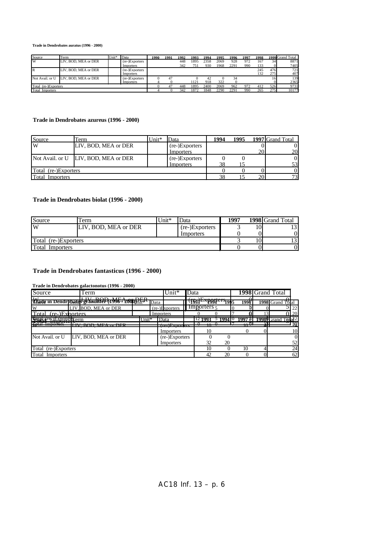**Trade in Dendrobates auratus (1996 - 2000)**

| Source                 | Term                 | Unit* | Data           | 1990 | 1991 | 1992 | 1993 | 1994 | 1995 | 1996 | 1997 | 1998 |     | 1999 Grand Total |
|------------------------|----------------------|-------|----------------|------|------|------|------|------|------|------|------|------|-----|------------------|
| W                      | LIV. BOD. MEA or DER |       | (re-)Exporters |      |      | 448  | 1895 | 2358 | 2069 | 928  | 972  | 167  | 34  | 8871             |
|                        |                      |       | Importers      |      |      | 342  | 751  | 930  | 1968 | 2291 | 990  | 133  |     | 7405             |
| R                      | LIV. BOD. MEA or DER |       | (re-)Exporters |      |      |      |      |      |      |      |      | 245  | 476 | 721              |
|                        |                      |       | Importers      |      |      |      |      |      |      |      |      | 132  | 275 | 407              |
| Not Avail, or U        | LIV. BOD, MEA or DER |       | (re-)Exporters |      | 47   |      |      | 42   |      | 34   |      |      |     | 139              |
|                        |                      |       | Importers      |      |      |      | 121  | 918  | 322  |      |      |      |     | 2365             |
| Total (re-)Exporters   |                      |       |                |      | 47   | 448  | 1895 | 2400 | 2069 | 962  | 972  | 412  | 526 | 9731             |
| <b>Total Importers</b> |                      |       |                |      |      | 342  | 1872 | 1848 | 2290 | 2291 | 990  | 265  | 275 | 10177            |

### **Trade in Dendrobates azureus (1996 - 2000)**

| Source               | Ferm                                 | Unit* | )ata           | 1994 | 1995 |    | 1997 Grand Total |
|----------------------|--------------------------------------|-------|----------------|------|------|----|------------------|
| W                    | LIV. BOD. MEA or DER                 |       | (re-)Exporters |      |      |    | ΟI               |
|                      |                                      |       | Importers      |      |      | 20 | 20               |
|                      | Not Avail. or U LIV, BOD, MEA or DER |       | (re-)Exporters |      |      |    | 01               |
|                      |                                      |       | Importers      |      |      |    | 53               |
| Total (re-)Exporters |                                      |       |                |      |      |    | 01               |
| Total<br>Importers   |                                      |       |                |      |      | 20 | 73               |

### **Trade in Dendrobates biolat (1996 - 2000)**

| Source                 | l'erm                | Unit* | Data           | 1997 | 1998 Grand Total |
|------------------------|----------------------|-------|----------------|------|------------------|
| $\mathbf{w}$           | LIV. BOD. MEA or DER |       | (re-)Exporters |      |                  |
|                        |                      |       | Importers      |      | VI               |
| Total (re-)Exporters   |                      |       |                |      |                  |
| <b>Total Importers</b> |                      |       |                |      |                  |

### **Trade in Dendrobates fantasticus (1996 - 2000)**

**Trade in Dendrobates galactonotus (1996 - 2000)**

| Source                           | Term                                                                                     |                   |           | Unit*             | Data |                                        |    |           |            | 1998 Grand Total   |          |
|----------------------------------|------------------------------------------------------------------------------------------|-------------------|-----------|-------------------|------|----------------------------------------|----|-----------|------------|--------------------|----------|
| <b>XX7</b>                       | $\mathbf{X}$<br><b><i>Schade in Dendrobates granuffier</i></b> (1996-22000) <i>Kleav</i> | DED               | Data      |                   |      | $\sqrt{ }$<br>1993.<br>-^1994          |    | 1998      |            | 1998 Grand Total   |          |
| W                                | LIV. BOD. MEA or DER                                                                     |                   |           | $(re-)$ Exporters |      | $\blacksquare$ Importers $\frac{1}{2}$ |    |           |            |                    | 22       |
| Total<br>$(re1)$ Exporters       |                                                                                          |                   | Importers |                   |      |                                        |    |           |            |                    | 120      |
| <b>Seince TG LEXPOLIS EXPORT</b> |                                                                                          | $\mathsf{Unit}^*$ | Data      |                   |      |                                        |    |           |            | T <sub>of</sub> 22 |          |
|                                  | $\frac{1}{100}$<br><b>DED</b><br><b>NULL WEATHING</b>                                    |                   |           | --------------    |      |                                        |    | .പീ<br>ᡣ᠇ | 11<br>41 L |                    | ച 30     |
|                                  |                                                                                          |                   |           | Importers         |      | 10                                     |    |           |            |                    | 10       |
| Not Avail, or U                  | LIV, BOD, MEA or DER                                                                     |                   |           | (re-)Exporters    |      |                                        |    |           |            |                    | $\Omega$ |
|                                  |                                                                                          |                   |           | Importers         |      | 32                                     | 20 |           |            |                    | 52       |
| Total (re-)Exporters             |                                                                                          |                   |           |                   |      | 10                                     |    | 10        |            |                    | 24       |
| Total<br>Importers               |                                                                                          |                   |           |                   |      | 42                                     | 20 |           |            |                    | 62       |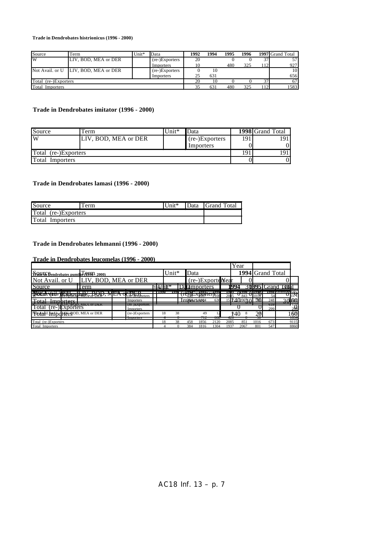**Trade in Dendrobates histrionicus (1996 - 2000)**

| Source                  | Term                                 | $Unit*$ | Data           | 1992 | 1994 | 1995 | 1996 |    | 1997 Grand Total |
|-------------------------|--------------------------------------|---------|----------------|------|------|------|------|----|------------------|
| W                       | LIV, BOD, MEA or DER                 |         | (re-)Exporters | 20   |      |      |      | 37 | 57 I             |
|                         |                                      |         | Importers      | 10   |      | 480  | 325  | 12 | 927              |
|                         | Not Avail, or U LIV, BOD, MEA or DER |         | (re-)Exporters |      | 10   |      |      |    | 10               |
|                         |                                      |         | Importers      | 25   | 631  |      |      |    | 656              |
| Total<br>(re-)Exporters |                                      |         |                | 20   | 10   |      |      | 37 | 67               |
| Total<br>Importers      |                                      |         |                | 35   | 631  | 480  | 325  | 12 | 1583             |

## **Trade in Dendrobates imitator (1996 - 2000)**

| Source               | Term                 | $Unit*$ | Data           |     | <b>1998</b> Grand Total |
|----------------------|----------------------|---------|----------------|-----|-------------------------|
| W                    | LIV, BOD, MEA or DER |         | (re-)Exporters | 191 | 191                     |
|                      |                      |         | Importers      |     |                         |
| Total (re-)Exporters |                      |         |                | 191 | 19 <sup>7</sup>         |
| Total Importers      |                      |         |                |     |                         |

### **Trade in Dendrobates lamasi (1996 - 2000)**

| Source               | Ferm | Unit* | Data Grand Total |
|----------------------|------|-------|------------------|
| Total (re-)Exporters |      |       |                  |
| Total Importers      |      |       |                  |

### **Trade in Dendrobates lehmanni (1996 - 2000)**

**Trade in Dendrobates leucomelas (1996 - 2000)**

|                                                | <u> 11 auc III Denui obaics Icucomeias (1220 - 2000)</u> |                                                                                                                                                    |       |          |      |                   |                                   |      |      |      |             |                  |                   |
|------------------------------------------------|----------------------------------------------------------|----------------------------------------------------------------------------------------------------------------------------------------------------|-------|----------|------|-------------------|-----------------------------------|------|------|------|-------------|------------------|-------------------|
|                                                |                                                          |                                                                                                                                                    |       |          |      |                   |                                   |      | Year |      |             |                  |                   |
| <b>Paul fo Bendrobates pumilid (944) 2000)</b> |                                                          |                                                                                                                                                    |       | $Unit*$  | Data |                   |                                   |      |      |      |             | 1994 Grand Total |                   |
| Not Avail. or U                                | LIV, BOD, MEA or DER                                     |                                                                                                                                                    |       |          |      | (re-)ExporterYear |                                   |      |      |      |             |                  |                   |
| Source                                         | Term                                                     |                                                                                                                                                    |       |          |      | Datamporters      |                                   |      | 1994 |      |             |                  | 309951 Grand T301 |
| <b>SHALLICE</b>                                |                                                          | レホーロ                                                                                                                                               | TT990 |          |      |                   | 1994                              |      |      |      |             |                  | ppx cranga etah   |
| <b>WAQITALIT</b>                               | <b>EAN-PACIDEMEY, J. DER., 1</b>                         | (re-Exporters                                                                                                                                      |       |          |      |                   | $\frac{1}{2000}$ $\frac{1}{2000}$ | 2085 |      | 843  |             | 54               | $U_{33}$ y        |
| ь-на-                                          |                                                          | Importers                                                                                                                                          |       |          |      | Im38Arte#04       | 636                               |      |      |      | 730)        | 248              | 20 <b>660</b>     |
| Total<br>(re-)Exporters                        |                                                          | <u> 1950 - 1950 - 1950 - 1950 - 1950 - 1950 - 1950 - 1950 - 1950 - 1950 - 1950 - 1950 - 1950 - 1950 - 1950 - 195</u><br>$v_{\mu\nu}$<br>Importers. |       |          |      |                   |                                   |      |      |      |             | .<br>299         | .er<br>299        |
| Notail Intiodrier BOD, MEA or DER              |                                                          | (re-)Exporters                                                                                                                                     |       | 38<br>18 |      | 49                |                                   |      | P40  |      | 20          |                  | 60                |
|                                                |                                                          | <b>THIDORIERS</b>                                                                                                                                  |       |          |      | 11 Z              | ooo                               | 42V  |      |      | $_{\rm 50}$ |                  | 10.34             |
| Total (re-)Exporters                           |                                                          |                                                                                                                                                    |       | 38<br>18 | 458  | 1856              | 2120                              | 2085 |      | 851  | 1016        | 673              | 9115              |
| Total Importers                                |                                                          |                                                                                                                                                    |       |          | 384  | 1816              | 1304                              | 1937 |      | 2067 | 801         | 547              | 8860              |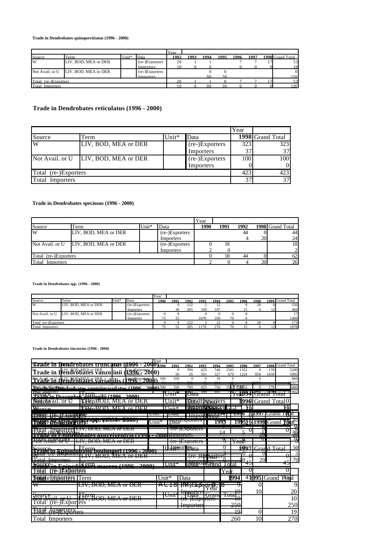**Trade in Dendrobates quinquevittatus (1996 - 2000)**

|                        |                                      |         |                  | ∎Year |      |      |      |      |      |                  |
|------------------------|--------------------------------------|---------|------------------|-------|------|------|------|------|------|------------------|
| Source                 | Term                                 | $Unit*$ | Data             | 1992  | 1993 | 1994 | 1995 | 1996 | 1997 | 1998 Grand Total |
| W                      | LIV. BOD. MEA or DER                 |         | $(re-)Exporters$ | 20    |      |      |      |      |      | 53               |
|                        |                                      |         | Importers        |       |      |      |      |      |      | 10               |
|                        | Not Avail, or U LIV, BOD, MEA or DER |         | (re-)Exporters   |       |      |      |      |      |      |                  |
|                        |                                      |         | <b>Importers</b> |       |      |      | 30   |      |      | 110              |
| Total (re-)Exporters.  |                                      |         |                  | 20    |      |      |      |      |      | 53               |
| <b>Total Importers</b> |                                      |         |                  |       |      |      |      |      |      | 120              |

# **Trade in Dendrobates reticulatus (1996 - 2000)**

|                        |                      |         |                | Year |                               |
|------------------------|----------------------|---------|----------------|------|-------------------------------|
| Source                 | Term                 | $Unit*$ | Data           |      | $\overline{1998}$ Grand Total |
| W                      | LIV, BOD, MEA or DER |         | (re-)Exporters | 323  | 323                           |
|                        |                      |         | Importers      | 37   | 37                            |
| Not Avail. or U        | LIV, BOD, MEA or DER |         | (re-)Exporters | 100  | 100                           |
|                        |                      |         | Importers      |      |                               |
| Total (re-)Exporters   |                      |         |                | 423  | 423                           |
| <b>Total Importers</b> |                      |         |                | 37   | 37                            |

### **Trade in Dendrobates speciosus (1996 - 2000)**

|                      |                                      |                 |                | Year |      |      |                 |                  |
|----------------------|--------------------------------------|-----------------|----------------|------|------|------|-----------------|------------------|
| Source               | Term                                 | $\text{Unit}^*$ | Data           | 1990 | 1991 | 1992 |                 | 1998 Grand Total |
| W                    | LIV. BOD. MEA or DER                 |                 | (re-)Exporters |      |      | 44   |                 | 44               |
|                      |                                      |                 | Importers      |      |      |      | 20 <sup>1</sup> | 24               |
|                      | Not Avail. or U LIV, BOD, MEA or DER |                 | (re-)Exporters |      | 18   |      |                 | 18               |
|                      |                                      |                 | Importers      |      |      |      |                 |                  |
| Total (re-)Exporters |                                      |                 |                |      | 18   | 44   |                 | 62               |
| Total<br>Importers   |                                      |                 |                |      |      |      | 20              | 26               |

**Trade in Dendrobates spp. (1996 - 2000)**

|                        |                      |       |                | <b>Y</b> ear |      |      |      |      |      |      |      |            |                  |
|------------------------|----------------------|-------|----------------|--------------|------|------|------|------|------|------|------|------------|------------------|
| Source                 | Term                 | Unit* | Data           | 1990         | 1991 | 1992 | 1993 | 1994 | 1995 | 1996 | 1998 |            | 1999 Grand Total |
| W                      | LIV. BOD. MEA or DER |       | (re-)Exporters |              |      | 122  |      | 12   |      |      | 20   |            | 156              |
|                        |                      |       | Importers      |              | 30   | 205  | 100  | 107  |      |      |      | 12         | 469              |
| Not Avail, or U        | LIV. BOD. MEA or DER |       | (re-)Exporters |              |      |      |      |      |      |      |      |            | 17               |
|                        |                      |       | Importers      |              |      |      | 1070 | 169  | 70   |      |      |            | 1409             |
| Total (re-)Exporters   |                      |       |                |              |      | 122  |      | 12   |      |      | 20   |            | 173              |
| <b>Total Importers</b> |                      |       |                |              |      | 205  | 170  | 276  | 70   |      |      | $\sqrt{2}$ | 1878             |

**Trade in Dendrobates tinctorius (1996 - 2000)**

|                                                                                                                                                                                                                                                                                                                                               | Year               |                      |                                            |            |                                    |                                  |                                                  |                    |                          |                   |
|-----------------------------------------------------------------------------------------------------------------------------------------------------------------------------------------------------------------------------------------------------------------------------------------------------------------------------------------------|--------------------|----------------------|--------------------------------------------|------------|------------------------------------|----------------------------------|--------------------------------------------------|--------------------|--------------------------|-------------------|
| <u> ФЖАР - </u><br><b>Sbill</b> al<br>robates truncatus                                                                                                                                                                                                                                                                                       | 2000 h990          | 1991                 | 1992                                       | 1993       | 1994                               | 1995                             | 1996                                             | 1997               |                          | 1998 Grand Total  |
| Trade in Dendrobates vanzolinii (1996-152000)                                                                                                                                                                                                                                                                                                 |                    | $\Omega$<br>50       | 709<br>26                                  | 625<br>501 | 746<br>327                         | 1581<br>679                      | 1352<br>1224                                     | 9<br>850           | 178<br>1438              | 5200<br>5095      |
| <del>ldyd?Bbllfd&amp;&amp;Priabilis</del><br><b>996 - 200</b>                                                                                                                                                                                                                                                                                 | 500                | 350                  | $\Omega$<br>200                            | $\Omega$   | 10                                 | $\Omega$                         |                                                  | $\Omega$           |                          | 860<br>2807       |
| This He Exponses drahatas vantrimagulatus (1006)                                                                                                                                                                                                                                                                                              | 2000 $\lambda$ 500 | 350                  | - - -<br>709                               | 625        | 756                                |                                  | 5 <b>kiY eat</b> 52                              |                    | 178                      | 5060              |
| <b>PUGI HIIDOITELS</b><br>$\mathbf{r}$<br>Proton Dycconburghtongili (1006<br>2000)                                                                                                                                                                                                                                                            |                    | ਥਾ…≫<br>ошт          | $\mathbf{E}$<br>Data                       | . J40      | 041                                |                                  | $1 + 7$ 1 $000$ $11/000$<br>TEAP24TUI AIIU TULAI |                    | $1 + 30 - 4$             | $-1$ 1/902        |
| <b>Sourevail</b> or U<br><b>ITemBOD, MEA or DER</b>                                                                                                                                                                                                                                                                                           |                    | Unit*                |                                            |            | Draa) Exporters                    |                                  | 1996                                             |                    | Grand Total <sub>0</sub> |                   |
| frwnROD ME∆ or DER<br>Wurce                                                                                                                                                                                                                                                                                                                   |                    | $I In it*$           |                                            |            | TNRADY THE RESILATE                |                                  | 16                                               |                    |                          | φğ                |
| <b>DOUGL FRACTION</b><br>Froimi in to patricial and                                                                                                                                                                                                                                                                                           | राπा∵              | плата                |                                            |            | $\frac{1}{2}$<br>1111po 14 / 14 41 |                                  | - 7790                                           | <b>AL997IGrand</b> |                          | ØП                |
| THE THE REE TENT DIPP. WILLOW LIBRO<br>l'50                                                                                                                                                                                                                                                                                                   | Unit*              |                      | Data <sub>Laportuis</sub>                  |            | 99.                                |                                  | <b>995191998</b> Grand <b>T6</b>                 |                    |                          |                   |
| (Importers Liv, DOD, MEA or DER)                                                                                                                                                                                                                                                                                                              |                    |                      | <u>TU-JEAPOITUIS</u>                       |            |                                    |                                  | U                                                | ν                  |                          | σ                 |
| wiiiii: Iliiizil <del>a, p</del> ataile setsiile kee <i>valeett</i> iiiii <u>iliiidoilga</u>                                                                                                                                                                                                                                                  |                    |                      |                                            |            |                                    | ₩                                | W                                                | 20<br>$\bm{\pi}$   |                          | 46<br>प्र         |
| $I \, I \, I \, I$ $I \cap \cap I$ $I \cap I$ $A \sim \cap \cap I$<br>LI Y, DUD, MILA VI DEN                                                                                                                                                                                                                                                  |                    |                      | $\Delta E$<br>$11C$ - <i>J</i> EAPOITURS   |            |                                    | $\mathbf{X}$                     | л сар                                            |                    |                          |                   |
| S <sub>OMR</sub> ce<br>Term<br><b>Easters In Samber of Bridges Montgottes I TOOK - 2000 T</b>                                                                                                                                                                                                                                                 |                    | r <b>Amport</b>      | t∏Sata                                     |            |                                    |                                  |                                                  | 1007 Grand Total   |                          | 50                |
| $\frac{1}{2}$ $\frac{1}{2}$ $\frac{1}{2}$ $\frac{1}{2}$ $\frac{1}{2}$ $\frac{1}{2}$ $\frac{1}{2}$ $\frac{1}{2}$ $\frac{1}{2}$ $\frac{1}{2}$ $\frac{1}{2}$ $\frac{1}{2}$ $\frac{1}{2}$ $\frac{1}{2}$ $\frac{1}{2}$ $\frac{1}{2}$ $\frac{1}{2}$ $\frac{1}{2}$ $\frac{1}{2}$ $\frac{1}{2}$ $\frac{1}{2}$ $\frac{1}{2}$<br>LI 1, DOD, MILA OF DER |                    |                      |                                            | $(TC^-)LM$ | وممزموها المتلاط                   |                                  | ∩                                                | U                  |                          | 3<br>Λ<br>σ       |
| $T_{\Delta \rm tal}$<br>Importare<br>-------------                                                                                                                                                                                                                                                                                            |                    |                      |                                            |            | ⊦ear∽                              |                                  |                                                  | 20                 |                          | 70<br>ے ہ         |
| . Herm<br>Source.<br>(1000)<br>$\Delta \hat{u}(\hat{u})$                                                                                                                                                                                                                                                                                      |                    | $U$ nit $\tilde{ }}$ |                                            |            | 19atro Terand                      | `ota                             | 47                                               |                    |                          | Đ                 |
| (Fe=)Exporters<br>TAIA                                                                                                                                                                                                                                                                                                                        |                    |                      |                                            |            |                                    | Yea                              | U                                                |                    |                          | π                 |
| <b>Some cimporters</b><br>Term                                                                                                                                                                                                                                                                                                                |                    | Unit*                | Data                                       |            |                                    |                                  | 994                                              |                    |                          | 45 95 Grand Total |
| ₩<br><del>LIV, BOD, MEA or DER</del>                                                                                                                                                                                                                                                                                                          |                    | nvio                 | NTTOTIMATTL<br>(R <del>F)Ekportega.</del>  |            |                                    | Ō<br>o                           | $\Omega$                                         |                    |                          | 9                 |
|                                                                                                                                                                                                                                                                                                                                               |                    | $T$ $T$ $T$          | тщадция                                    |            |                                    |                                  | 10<br>₹U                                         | 10                 |                          | 20                |
| $\mathbf{C}$<br>הדו<br>$R^{UUII}$<br>H <sup>161</sup> BOD MEA or DED<br>$\sim$ TT                                                                                                                                                                                                                                                             |                    | ошг                  | Raig                                       |            | $\overline{ }$<br>UI dilu          | È<br>$\overline{\text{total}_0}$ |                                                  |                    |                          | 10                |
| $\overline{\text{ (re)}}$ Exporters $\overline{\text{EV}}$ , $\overline{\text{BUV}}$ , $\overline{\text{MEA}}$ or DER<br>Total                                                                                                                                                                                                                |                    |                      | (10 <i>JEA</i> portors<br><b>Importers</b> |            |                                    |                                  | 10<br>250                                        |                    |                          | 250               |
| 4mporters                                                                                                                                                                                                                                                                                                                                     |                    |                      |                                            |            |                                    |                                  | 20<br>19                                         | 0                  |                          | 19                |
| Total Importers                                                                                                                                                                                                                                                                                                                               |                    |                      |                                            |            |                                    |                                  | 260                                              | 10                 |                          | 270               |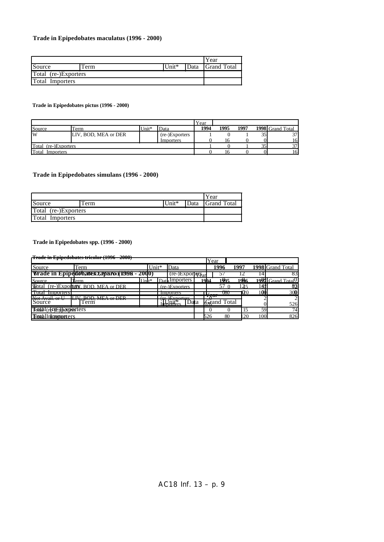### **Trade in Epipedobates maculatus (1996 - 2000)**

|                        |       |       |      | Year               |
|------------------------|-------|-------|------|--------------------|
| Source                 | l'erm | Unit* | Data | <b>Grand Total</b> |
| Total (re-)Exporters   |       |       |      |                    |
| <b>Total Importers</b> |       |       |      |                    |

### **Trade in Epipedobates pictus (1996 - 2000)**

|                      |                      |       |                | Year |      |      |    |                  |
|----------------------|----------------------|-------|----------------|------|------|------|----|------------------|
| Source               | Term                 | Unit* | Data           | 1994 | 1995 | 1997 |    | 1998 Grand Total |
| W                    | LIV, BOD, MEA or DER |       | (re-)Exporters |      |      |      | 35 | 37               |
|                      |                      |       | Importers      |      |      |      |    | 161              |
| Total (re-)Exporters |                      |       |                |      |      |      |    | 271              |
| Total<br>Importers   |                      |       |                |      |      |      |    | 16               |

## **Trade in Epipedobates simulans (1996 - 2000)**

|                      |      |       |      | Year               |
|----------------------|------|-------|------|--------------------|
| Source               | Term | Unit* | Data | <b>Grand Total</b> |
| Total (re-)Exporters |      |       |      |                    |
| Total Importers      |      |       |      |                    |

### **Trade in Epipedobates spp. (1996 - 2000)**

**Trade in Epipedobates tricolor (1996 - 2000)**

|                            |                                             |           |       |                                            |      |      | Year |             |      |     |                                 |
|----------------------------|---------------------------------------------|-----------|-------|--------------------------------------------|------|------|------|-------------|------|-----|---------------------------------|
| Source                     | Term                                        |           | Unit* | Data                                       |      |      |      | 1996        | 1997 |     | 1998 Grand Total                |
|                            | Wrade in Epipedovales zavaroor 1998 - 2000) |           |       | $(r_{e^-})$ Exporter $\gamma_{\text{Bar}}$ |      |      |      |             |      |     | 83                              |
| Source                     | Term                                        | $I In **$ |       | Dath Importers                             |      | 1994 |      | 1005        | 1996 |     | $1901$ Grand Total <sup>0</sup> |
|                            | Wotal (re-)Exportery BOD, MEA or DER        |           |       | (re-)Exporters                             |      |      |      |             |      | 141 | 83                              |
| пош<br><b>IMPORTERS</b>    |                                             |           |       | <i>importers</i>                           |      |      |      | USU         | 1020 | 100 | 300                             |
| Source                     | $DOD$ MEA $\sim$ DED<br>`erm                |           |       | $\Gamma$ $\sim$ $\sim$ $\sim$              | Data |      | ∓уат | Grand Total |      |     | $\overline{2}$<br>526           |
| Total(refrexborporters     |                                             |           |       |                                            |      |      |      |             | 15   | 59  | 74                              |
| <b>Totah Uninortoriers</b> |                                             |           |       |                                            |      |      | 526  | 80          | 20   | 100 | 826                             |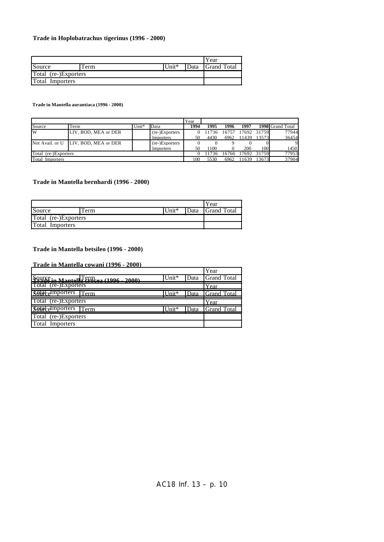### **Trade in Hoplobatrachus tigerinus (1996 - 2000)**

|                      |      |       |      | Year                 |
|----------------------|------|-------|------|----------------------|
| Source               | Term | Unit* | Data | <b>S</b> Grand Total |
| Total (re-)Exporters |      |       |      |                      |
| Total Importers      |      |       |      |                      |

**Trade in Mantella aurantiaca (1996 - 2000)**

|                        |                                      |       |                | Year |      |       |       |             |                  |
|------------------------|--------------------------------------|-------|----------------|------|------|-------|-------|-------------|------------------|
| Source                 | Term                                 | Unit* | Data           | 1994 | 1995 | 1996  | 1997  |             | 1998 Grand Total |
| W                      | LIV, BOD, MEA or DER                 |       | (re-)Exporters |      | 1736 | 16757 |       | 17692 31759 | 77944            |
|                        |                                      |       | Importers      | 50   | 4430 | 6962  | 11439 | 13573       | 36454            |
|                        | Not Avail, or U LIV, BOD, MEA or DER |       | (re-)Exporters |      |      |       |       |             |                  |
|                        |                                      |       | Importers      | 50   | 1100 |       | 200   | 100         | 1450             |
| Total (re-)Exporters   |                                      |       |                |      | 1736 | 16766 |       | 17692 31759 | 77953            |
| <b>Total Importers</b> |                                      |       |                | 100  | 5530 | 6962  |       | 13673       | 37904            |

### **Trade in Mantella bernhardi (1996 - 2000)**

|                      |       |       |      | Year               |
|----------------------|-------|-------|------|--------------------|
| Source               | l'erm | Unit* | Data | <b>Grand Total</b> |
| Total (re-)Exporters |       |       |      |                    |
| Total Importers      |       |       |      |                    |

#### **Trade in Mantella betsileo (1996 - 2000)**

**Trade in Mantella cowani (1996 - 2000)**

|                                                             |                      |      | Year               |
|-------------------------------------------------------------|----------------------|------|--------------------|
| $\frac{1}{2}QWSE_{in \text{Montoll}}TET_{in}$ (1006 - 2000) | Unit*                | Data | <b>Grand Total</b> |
| Total (re-)Exporters                                        |                      |      | Year               |
| <b><i>Sotal</i></b> elmporters Term                         | $\overline{I}$ Init* |      | Data Grand Total   |
| Total (re-)Exporters                                        |                      |      | Year               |
| <b>Sotatemporters</b> Term                                  | $\overline{I}$ Init* | Data | <b>Grand Total</b> |
| Total (re-)Exporters                                        |                      |      |                    |
| <b>Total Importers</b>                                      |                      |      |                    |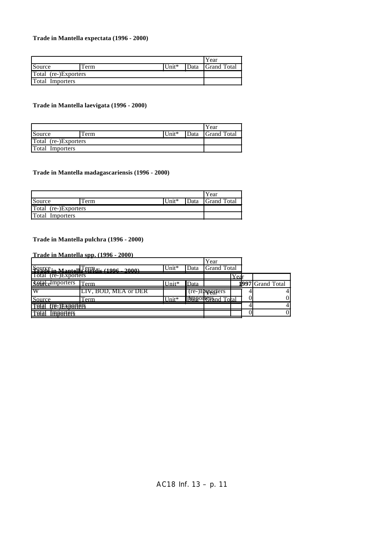### **Trade in Mantella expectata (1996 - 2000)**

|                        |      |            |              | Year               |
|------------------------|------|------------|--------------|--------------------|
| Source                 | Term | $ Unit^* $ | <b>IData</b> | <b>Grand Total</b> |
| Total (re-)Exporters   |      |            |              |                    |
| <b>Total Importers</b> |      |            |              |                    |

### **Trade in Mantella laevigata (1996 - 2000)**

|                      |      |         |      | Year               |
|----------------------|------|---------|------|--------------------|
| Source               | Term | $Unit*$ | Data | <b>Grand Total</b> |
| Total (re-)Exporters |      |         |      |                    |
| Total Importers      |      |         |      |                    |

### **Trade in Mantella madagascariensis (1996 - 2000)**

|                      |      |       | Year             |
|----------------------|------|-------|------------------|
| Source               | Term | Unit* | Data Grand Total |
| Total (re-)Exporters |      |       |                  |
| Total Importers      |      |       |                  |

## **Trade in Mantella pulchra (1996 - 2000)**

### **Trade in Mantella spp. (1996 - 2000)**

|                                            |                                          |       |      | Year                      |                  |                  |  |
|--------------------------------------------|------------------------------------------|-------|------|---------------------------|------------------|------------------|--|
|                                            | Source in Montally efficie (1006 - 2000) | Unit* | Data | <b>Grand Total</b>        |                  |                  |  |
| (re-)Exporters<br>Total                    |                                          |       |      |                           | $v_{\text{ear}}$ |                  |  |
| <b><i>Sotal</i></b> <sub>e</sub> dmporters | Term                                     | Jnit* | Data |                           |                  | 1997 Grand Total |  |
| ™                                          | LIV, BOD, MEA or DER                     |       |      | (re-)Exporters            |                  |                  |  |
| Source                                     | Term                                     | ∐nit* |      | <b>DEBOILGES</b> nd Total |                  |                  |  |
| Tata!<br>(F6=)ЕХВАГІ6FS                    |                                          |       |      |                           |                  |                  |  |
| Fata<br>lmaaftefs                          |                                          |       |      |                           |                  |                  |  |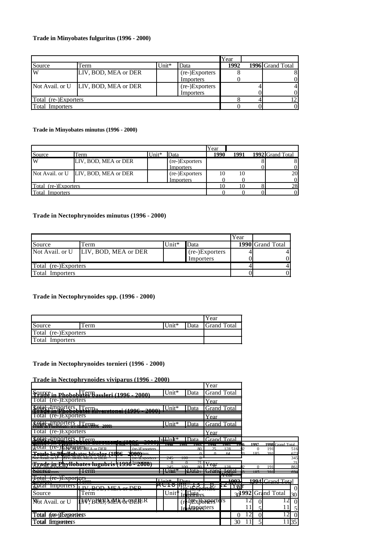### **Trade in Minyobates fulguritus (1996 - 2000)**

|                        |                                      |       | Year           |      |                               |
|------------------------|--------------------------------------|-------|----------------|------|-------------------------------|
| Source                 | Term                                 | Unit* | Data           | 1992 | $\overline{1996}$ Grand Total |
| $\overline{\text{W}}$  | LIV, BOD, MEA or DER                 |       | (re-)Exporters |      |                               |
|                        |                                      |       | Importers      |      | ΟI                            |
|                        | Not Avail. or U LIV, BOD, MEA or DER |       | (re-)Exporters |      | 41                            |
|                        |                                      |       | Importers      |      | ΟI                            |
| Total (re-)Exporters   |                                      |       | 2              |      |                               |
| <b>Total Importers</b> |                                      |       | OI             |      |                               |

**Trade in Minyobates minutus (1996 - 2000)**

|                      |                                      |       |                | Year |      |                  |
|----------------------|--------------------------------------|-------|----------------|------|------|------------------|
| Source               | Term                                 | ∐nit* | Data           | 1990 | 1991 | 1992 Grand Total |
| IW                   | LIV, BOD, MEA or DER                 |       | (re-)Exporters |      |      | 81               |
|                      |                                      |       | Importers      |      |      | ΟI               |
|                      | Not Avail. or U LIV, BOD, MEA or DER |       | (re-)Exporters |      | 10   | 20               |
|                      |                                      |       | Importers      |      |      | 01               |
| Total (re-)Exporters |                                      |       |                |      |      | 28               |
| Total<br>Importers   |                                      |       |                |      |      | 01               |

## **Trade in Nectophrynoides minutus (1996 - 2000)**

|                      |                                      |         |                | Year |                  |  |
|----------------------|--------------------------------------|---------|----------------|------|------------------|--|
| Source               | Term                                 | $Unit*$ | Data           |      | 1990 Grand Total |  |
|                      | Not Avail. or U LIV, BOD, MEA or DER |         | (re-)Exporters |      |                  |  |
|                      |                                      |         | Importers      |      |                  |  |
| Total (re-)Exporters |                                      |         |                |      |                  |  |
| Total<br>Importers   |                                      |         |                |      |                  |  |

## **Trade in Nectophrynoides spp. (1996 - 2000)**

|                      |     |          |      | Year               |
|----------------------|-----|----------|------|--------------------|
| Source               | erm | Unit $*$ | Data | <b>Grand Total</b> |
| Total (re-)Exporters |     |          |      |                    |
| Total Importers      |     |          |      |                    |

**Trade in Nectophrynoides tornieri (1996 - 2000)**

# **Trade in Nectophrynoides viviparus (1996 - 2000)**

|                                                                         |                          |                                    |                                           |                                                               | Year               |           |                |                 |             |                         |                 |
|-------------------------------------------------------------------------|--------------------------|------------------------------------|-------------------------------------------|---------------------------------------------------------------|--------------------|-----------|----------------|-----------------|-------------|-------------------------|-----------------|
| Squiff in Phobobate Resoleri (1996, 2000)                               |                          |                                    | Unit*                                     | Data                                                          | <b>Grand Total</b> |           |                |                 |             |                         |                 |
| Total (re-)Exporters                                                    |                          |                                    |                                           |                                                               | Year               |           |                |                 |             |                         |                 |
| <b>Sota</b> celmporters, Term.                                          |                          | $\Delta \Delta \Delta$<br>100<     | $Unit*$                                   | Data                                                          | <b>Grand Total</b> |           |                |                 |             |                         |                 |
| (re-)Exporters<br>Total                                                 |                          |                                    |                                           |                                                               | Year               |           |                |                 |             |                         |                 |
| <b>Rojace mporters</b> Termos 2000                                      |                          |                                    | $Unit*$                                   | Data                                                          | <b>Grand Total</b> |           |                |                 |             |                         |                 |
| $(re-)Exports$<br>Total                                                 |                          |                                    |                                           |                                                               | Year               |           |                |                 |             |                         |                 |
| <b><i>Sotabelmporters</i></b> , <i>Term</i>                             |                          |                                    | v-hJnit*                                  | Data                                                          | Grand Total        |           |                |                 |             |                         |                 |
| $\tau$ -renn $\sim$<br><b>ABUILET</b><br>π <sub>w</sub> otal            | TC-JEAP RISTMEA or DER   | TT THING<br><b>Plans</b>           | 1990                                      | 199<br>1993                                                   | 1994               | 1995      | 199            | 1997            |             | 1998 Grand Total        |                 |
|                                                                         |                          | (re-)Exporters<br><b>MAA)</b> tere |                                           | 80<br>$\Omega$                                                | 25<br>$\Omega$     | 128<br>61 |                | $\Omega$<br>185 | 191<br>301  |                         | 516<br>673      |
| <b>Trade ImPhyllobates bicolor (1996</b><br>INOL AVAII, OI U            | LI V . DUD. IVIEA UI DEN | oool<br><b>HE-JEADORERS</b>        | 24J                                       | $\sim$<br>100<br>U                                            |                    |           |                |                 |             |                         | 345             |
| <u> Trade in Phyllobates lugubris (1996 <sup>Im</sup>2000)</u>          |                          |                                    | $\Omega$                                  | 21<br>$\Omega$                                                | $\mathbf{x}$       |           |                |                 |             |                         | 21              |
|                                                                         |                          |                                    | 245                                       | $\Omega$<br>100                                               | тсді               | 120       |                |                 | 191         |                         | 861             |
| <b>DOUTOGYTOTS</b>                                                      | <del>Term</del>          |                                    | $\Box$ $\Box$<br>$-$ . $\sigma$ . The set | $\blacksquare$<br>11 2010/1 TV110114  1121.01                 | $C$ cand Tate      |           |                | <b>TX3</b>      | १५ ॥        |                         | ny/L            |
| $T-t-1$ $\left( \ldots \right)$ $\Gamma$<br><u>Lotal (re-)Exporters</u> |                          |                                    |                                           |                                                               |                    | Tua       |                |                 |             |                         |                 |
| $H = H$                                                                 |                          |                                    | T Tasikik<br>N                            |                                                               |                    |           | 1002<br>$\sim$ |                 |             | $1004$ $C_{rand}$ Total |                 |
| <b>R</b> otal Importers                                                 | I IV ROD MEA or DED      |                                    | ט ו טר                                    | $\frac{1}{10}$ $\frac{1}{10}$ $\frac{1}{100}$ $\frac{1}{100}$ |                    |           | Y QAI          |                 |             |                         | $\Omega$        |
| Source                                                                  | Term                     |                                    | Uniti                                     | In Reliers                                                    |                    |           | $30^{1992}$    |                 | Grand Total |                         | 30 <sup>°</sup> |
| Not Avail. or U                                                         |                          | LEVYBOOLMME&rODERER                |                                           | (re-VExPONDORIGIS                                             |                    |           |                | 0               |             |                         | $\vert 0 \vert$ |
|                                                                         |                          |                                    |                                           | <b>Banggers</b>                                               |                    |           |                | 5               |             |                         | $\mathfrak{S}$  |
| (re-)Exporters<br>Total                                                 |                          |                                    |                                           |                                                               |                    |           |                | 0               |             | 12                      | $\overline{0}$  |
| <b>Total Importers</b>                                                  |                          |                                    |                                           |                                                               |                    |           | 30             | 5               |             |                         | 1135            |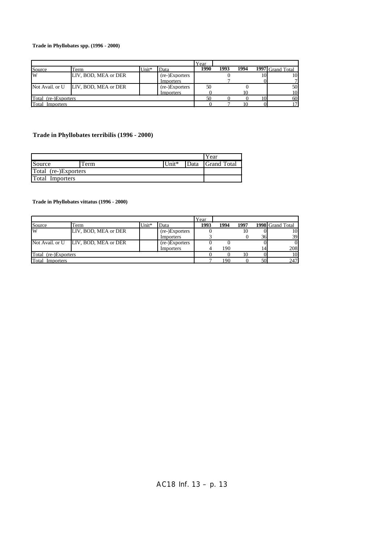### **Trade in Phyllobates spp. (1996 - 2000)**

|                      |                      |         |                | Year |      |      |                  |
|----------------------|----------------------|---------|----------------|------|------|------|------------------|
| Source               | Term                 | $Unit*$ | Data           | 1990 | 1993 | 1994 | 1997 Grand Total |
| W                    | LIV, BOD, MEA or DER |         | (re-)Exporters |      |      |      | 10               |
|                      |                      |         | Importers      |      |      |      |                  |
| Not Avail. or U      | LIV. BOD. MEA or DER |         | (re-)Exporters | 50   |      |      | 50               |
|                      |                      |         | Importers      |      |      | ιo   | 10               |
| Total (re-)Exporters |                      |         | 50             |      |      | 60   |                  |
| Total<br>Importers   |                      |         |                |      |      |      |                  |

# **Trade in Phyllobates terribilis (1996 - 2000)**

|                        |       |       | Year             |
|------------------------|-------|-------|------------------|
| Source                 | l'erm | Unit* | Data Grand Total |
| Total (re-)Exporters   |       |       |                  |
| <b>Total Importers</b> |       |       |                  |

**Trade in Phyllobates vittatus (1996 - 2000)**

|                      |                      |         |                | Year |      |      |    |                  |
|----------------------|----------------------|---------|----------------|------|------|------|----|------------------|
| Source               | Term                 | $Unit*$ | Data           | 1993 | 1994 | 1997 |    | 1998 Grand Total |
| W                    | LIV, BOD, MEA or DER |         | (re-)Exporters |      |      | 10   |    | 10               |
|                      |                      |         | Importers      |      |      |      | 36 | 39               |
| Not Avail. or U      | LIV, BOD, MEA or DER |         | (re-)Exporters |      |      |      |    | 01               |
|                      |                      |         | Importers      |      | 190  |      |    | 208              |
| Total (re-)Exporters |                      |         |                |      |      | 10   |    | 10               |
| Total<br>Importers   |                      |         |                |      | 190  |      |    | 247              |